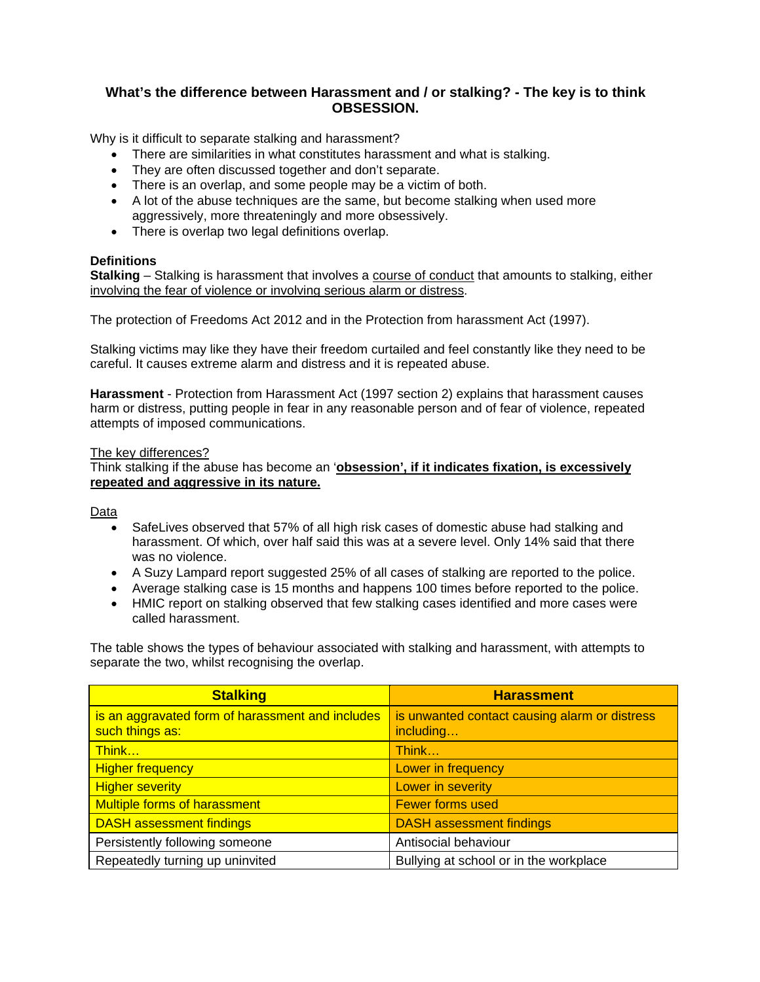## **What's the difference between Harassment and / or stalking? - The key is to think OBSESSION.**

Why is it difficult to separate stalking and harassment?

- There are similarities in what constitutes harassment and what is stalking.
- They are often discussed together and don't separate.
- There is an overlap, and some people may be a victim of both.
- A lot of the abuse techniques are the same, but become stalking when used more aggressively, more threateningly and more obsessively.
- There is overlap two legal definitions overlap.

## **Definitions**

**Stalking** – Stalking is harassment that involves a course of conduct that amounts to stalking, either involving the fear of violence or involving serious alarm or distress.

The protection of Freedoms Act 2012 and in the Protection from harassment Act (1997).

Stalking victims may like they have their freedom curtailed and feel constantly like they need to be careful. It causes extreme alarm and distress and it is repeated abuse.

**Harassment** - Protection from Harassment Act (1997 section 2) explains that harassment causes harm or distress, putting people in fear in any reasonable person and of fear of violence, repeated attempts of imposed communications.

## The key differences?

Think stalking if the abuse has become an '**obsession', if it indicates fixation, is excessively repeated and aggressive in its nature.** 

Data

- SafeLives observed that 57% of all high risk cases of domestic abuse had stalking and harassment. Of which, over half said this was at a severe level. Only 14% said that there was no violence.
- A Suzy Lampard report suggested 25% of all cases of stalking are reported to the police.
- Average stalking case is 15 months and happens 100 times before reported to the police.
- HMIC report on stalking observed that few stalking cases identified and more cases were called harassment.

The table shows the types of behaviour associated with stalking and harassment, with attempts to separate the two, whilst recognising the overlap.

| <b>Stalking</b>                                                     | <b>Harassment</b>                                          |
|---------------------------------------------------------------------|------------------------------------------------------------|
| is an aggravated form of harassment and includes<br>such things as: | is unwanted contact causing alarm or distress<br>including |
| Think                                                               | Think                                                      |
| <b>Higher frequency</b>                                             | Lower in frequency                                         |
| <b>Higher severity</b>                                              | Lower in severity                                          |
| <b>Multiple forms of harassment</b>                                 | <b>Fewer forms used</b>                                    |
| <b>DASH assessment findings</b>                                     | <b>DASH</b> assessment findings                            |
| Persistently following someone                                      | Antisocial behaviour                                       |
| Repeatedly turning up uninvited                                     | Bullying at school or in the workplace                     |